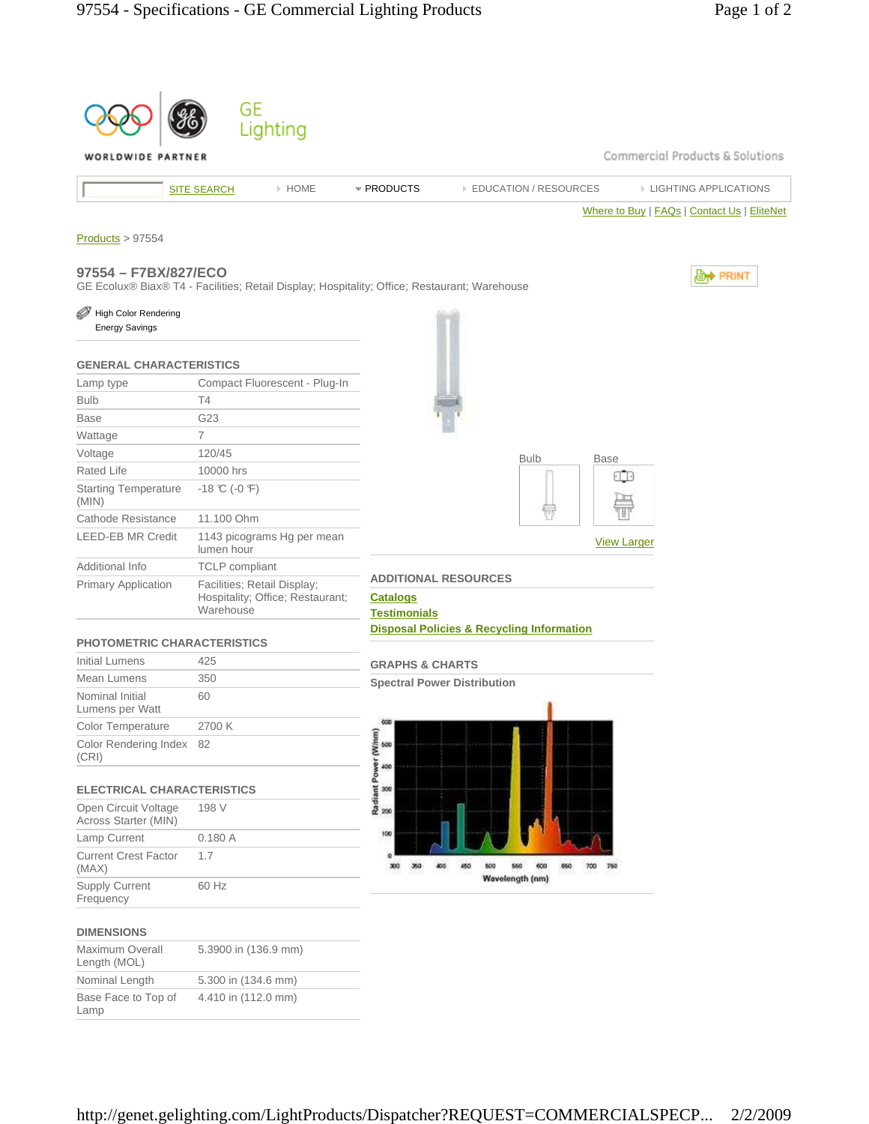|                                               | GE                                                                           |                                                                                                                             |
|-----------------------------------------------|------------------------------------------------------------------------------|-----------------------------------------------------------------------------------------------------------------------------|
|                                               | Lighting                                                                     |                                                                                                                             |
| WORLDWIDE PARTNER                             |                                                                              | Commercial Products & Solutions                                                                                             |
|                                               | > HOME<br><b>SITE SEARCH</b>                                                 | * PRODUCTS<br><b>EDUCATION / RESOURCES</b><br><b>EIGHTING APPLICATIONS</b>                                                  |
|                                               |                                                                              | Where to Buy   FAQs   Contact Us   EliteNet                                                                                 |
|                                               |                                                                              |                                                                                                                             |
| Products > 97554                              |                                                                              |                                                                                                                             |
| 97554 - F7BX/827/ECO                          |                                                                              | <b>E</b> <sup>→</sup> PRINT<br>GE Ecolux® Biax® T4 - Facilities; Retail Display; Hospitality; Office; Restaurant; Warehouse |
| High Color Rendering<br><b>Energy Savings</b> |                                                                              |                                                                                                                             |
| <b>GENERAL CHARACTERISTICS</b>                |                                                                              |                                                                                                                             |
| Lamp type                                     | Compact Fluorescent - Plug-In                                                |                                                                                                                             |
| <b>Bulb</b>                                   | Τ4                                                                           |                                                                                                                             |
| <b>Base</b>                                   | G23                                                                          |                                                                                                                             |
| Wattage                                       | $\overline{7}$                                                               |                                                                                                                             |
| Voltage                                       | 120/45                                                                       | <b>Bulb</b><br><b>Base</b>                                                                                                  |
| <b>Rated Life</b>                             | 10000 hrs                                                                    | 4 B                                                                                                                         |
| <b>Starting Temperature</b><br>(MIN)          | $-18$ °C ( $-0$ °F)                                                          |                                                                                                                             |
| Cathode Resistance                            | 11.100 Ohm                                                                   |                                                                                                                             |
| <b>LEED-EB MR Credit</b>                      | 1143 picograms Hg per mean<br>lumen hour                                     | <b>View Larger</b>                                                                                                          |
| Additional Info                               | <b>TCLP</b> compliant                                                        |                                                                                                                             |
| <b>Primary Application</b>                    | Facilities; Retail Display;<br>Hospitality; Office; Restaurant;<br>Warehouse | <b>ADDITIONAL RESOURCES</b><br><b>Catalogs</b><br><b>Testimonials</b>                                                       |
| <b>PHOTOMETRIC CHARACTERISTICS</b>            |                                                                              | <b>Disposal Policies &amp; Recycling Information</b>                                                                        |
| <b>Initial Lumens</b>                         | 425                                                                          | <b>GRAPHS &amp; CHARTS</b>                                                                                                  |
| Mean Lumens                                   | 350                                                                          | <b>Spectral Power Distribution</b>                                                                                          |
| Nominal Initial<br>Lumens per Watt            | 60                                                                           |                                                                                                                             |
| Color Temperature                             | 2700 K                                                                       | 600                                                                                                                         |
| Color Rendering Index<br>(CRI)                | 82                                                                           | Radiant Power (Winm)<br>8 8 8 8                                                                                             |
| <b>ELECTRICAL CHARACTERISTICS</b>             |                                                                              |                                                                                                                             |
| Open Circuit Voltage<br>Across Starter (MIN)  | 198 V                                                                        |                                                                                                                             |
| Lamp Current                                  | 0.180A                                                                       | 100                                                                                                                         |
| <b>Current Crest Factor</b><br>(MAX)          | 1.7                                                                          | ٠o<br>450<br>550<br>600<br>650<br>300<br>360<br>400<br>500<br>700                                                           |
| <b>Supply Current</b><br>Frequency            | 60 Hz                                                                        | Wavelength (nm)                                                                                                             |
| <b>DIMENSIONS</b>                             |                                                                              |                                                                                                                             |
| Maximum Overall<br>Length (MOL)               | 5.3900 in (136.9 mm)                                                         |                                                                                                                             |
| Nominal Length                                | 5.300 in (134.6 mm)                                                          |                                                                                                                             |
| Base Face to Top of<br>Lamp                   | 4.410 in (112.0 mm)                                                          |                                                                                                                             |
|                                               |                                                                              |                                                                                                                             |